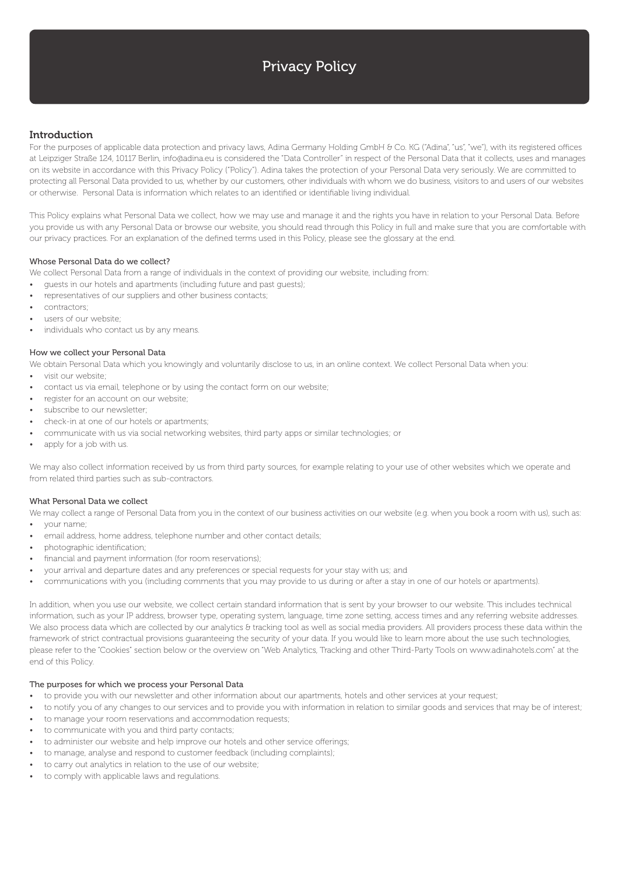# Privacy Policy

# Introduction

For the purposes of applicable data protection and privacy laws, Adina Germany Holding GmbH & Co. KG ("Adina", "us", "we"), with its registered offices at Leipziger Straße 124, 10117 Berlin, info@adina.eu is considered the "Data Controller" in respect of the Personal Data that it collects, uses and manages on its website in accordance with this Privacy Policy ("Policy"). Adina takes the protection of your Personal Data very seriously. We are committed to protecting all Personal Data provided to us, whether by our customers, other individuals with whom we do business, visitors to and users of our websites or otherwise. Personal Data is information which relates to an identified or identifiable living individual.

This Policy explains what Personal Data we collect, how we may use and manage it and the rights you have in relation to your Personal Data. Before you provide us with any Personal Data or browse our website, you should read through this Policy in full and make sure that you are comfortable with our privacy practices. For an explanation of the defined terms used in this Policy, please see the glossary at the end.

## Whose Personal Data do we collect?

We collect Personal Data from a range of individuals in the context of providing our website, including from:

- guests in our hotels and apartments (including future and past guests);
- representatives of our suppliers and other business contacts;
- contractors;
- users of our website;
- individuals who contact us by any means.

## How we collect your Personal Data

We obtain Personal Data which you knowingly and voluntarily disclose to us, in an online context. We collect Personal Data when you:

- visit our website;
- contact us via email, telephone or by using the contact form on our website;
- register for an account on our website;
- subscribe to our newsletter;
- check-in at one of our hotels or apartments;
- communicate with us via social networking websites, third party apps or similar technologies; or
- apply for a job with us.

We may also collect information received by us from third party sources, for example relating to your use of other websites which we operate and from related third parties such as sub-contractors.

#### What Personal Data we collect

We may collect a range of Personal Data from you in the context of our business activities on our website (e.g. when you book a room with us), such as: • your name;

- email address, home address, telephone number and other contact details;
- photographic identification;
- financial and payment information (for room reservations);
- your arrival and departure dates and any preferences or special requests for your stay with us; and
- communications with you (including comments that you may provide to us during or after a stay in one of our hotels or apartments).

In addition, when you use our website, we collect certain standard information that is sent by your browser to our website. This includes technical information, such as your IP address, browser type, operating system, language, time zone setting, access times and any referring website addresses. We also process data which are collected by our analytics & tracking tool as well as social media providers. All providers process these data within the framework of strict contractual provisions guaranteeing the security of your data. If you would like to learn more about the use such technologies, please refer to the "Cookies" section below or the overview on "Web Analytics, Tracking and other Third-Party Tools on www.adinahotels.com" at the end of this Policy.

#### The purposes for which we process your Personal Data

- to provide you with our newsletter and other information about our apartments, hotels and other services at your request;
- to notify you of any changes to our services and to provide you with information in relation to similar goods and services that may be of interest;
- to manage your room reservations and accommodation requests;
- to communicate with you and third party contacts;
- to administer our website and help improve our hotels and other service offerings;
- to manage, analyse and respond to customer feedback (including complaints);
- to carry out analytics in relation to the use of our website;
- to comply with applicable laws and regulations.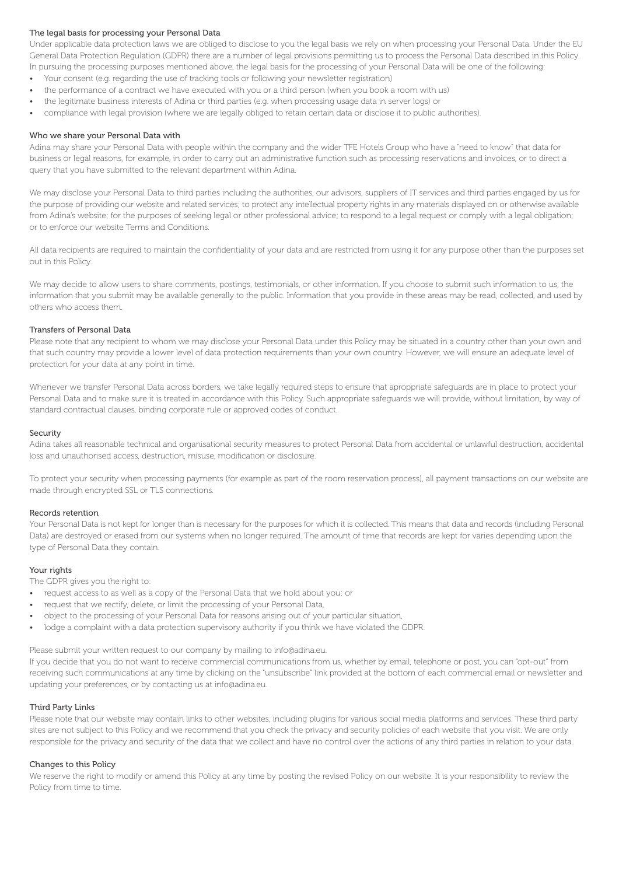## The legal basis for processing your Personal Data

Under applicable data protection laws we are obliged to disclose to you the legal basis we rely on when processing your Personal Data. Under the EU General Data Protection Regulation (GDPR) there are a number of legal provisions permitting us to process the Personal Data described in this Policy. In pursuing the processing purposes mentioned above, the legal basis for the processing of your Personal Data will be one of the following:

- Your consent (e.g. regarding the use of tracking tools or following your newsletter registration)
- the performance of a contract we have executed with you or a third person (when you book a room with us)
- the legitimate business interests of Adina or third parties (e.g. when processing usage data in server logs) or
- compliance with legal provision (where we are legally obliged to retain certain data or disclose it to public authorities).

## Who we share your Personal Data with

Adina may share your Personal Data with people within the company and the wider TFE Hotels Group who have a "need to know" that data for business or legal reasons, for example, in order to carry out an administrative function such as processing reservations and invoices, or to direct a query that you have submitted to the relevant department within Adina.

We may disclose your Personal Data to third parties including the authorities, our advisors, suppliers of IT services and third parties engaged by us for the purpose of providing our website and related services; to protect any intellectual property rights in any materials displayed on or otherwise available from Adina's website; for the purposes of seeking legal or other professional advice; to respond to a legal request or comply with a legal obligation; or to enforce our website Terms and Conditions.

All data recipients are required to maintain the confidentiality of your data and are restricted from using it for any purpose other than the purposes set out in this Policy.

We may decide to allow users to share comments, postings, testimonials, or other information. If you choose to submit such information to us, the information that you submit may be available generally to the public. Information that you provide in these areas may be read, collected, and used by others who access them.

## Transfers of Personal Data

Please note that any recipient to whom we may disclose your Personal Data under this Policy may be situated in a country other than your own and that such country may provide a lower level of data protection requirements than your own country. However, we will ensure an adequate level of protection for your data at any point in time.

Whenever we transfer Personal Data across borders, we take legally required steps to ensure that aproppriate safeguards are in place to protect your Personal Data and to make sure it is treated in accordance with this Policy. Such appropriate safeguards we will provide, without limitation, by way of standard contractual clauses, binding corporate rule or approved codes of conduct.

#### Security

Adina takes all reasonable technical and organisational security measures to protect Personal Data from accidental or unlawful destruction, accidental loss and unauthorised access, destruction, misuse, modification or disclosure.

To protect your security when processing payments (for example as part of the room reservation process), all payment transactions on our website are made through encrypted SSL or TLS connections.

#### Records retention

Your Personal Data is not kept for longer than is necessary for the purposes for which it is collected. This means that data and records (including Personal Data) are destroyed or erased from our systems when no longer required. The amount of time that records are kept for varies depending upon the type of Personal Data they contain.

## Your rights

The GDPR gives you the right to:

- request access to as well as a copy of the Personal Data that we hold about you; or
- request that we rectify, delete, or limit the processing of your Personal Data,
- object to the processing of your Personal Data for reasons arising out of your particular situation,
- lodge a complaint with a data protection supervisory authority if you think we have violated the GDPR.

Please submit your written request to our company by mailing to info@adina.eu.

If you decide that you do not want to receive commercial communications from us, whether by email, telephone or post, you can "opt-out" from receiving such communications at any time by clicking on the "unsubscribe" link provided at the bottom of each commercial email or newsletter and updating your preferences, or by contacting us at info@adina.eu.

## Third Party Links

Please note that our website may contain links to other websites, including plugins for various social media platforms and services. These third party sites are not subject to this Policy and we recommend that you check the privacy and security policies of each website that you visit. We are only responsible for the privacy and security of the data that we collect and have no control over the actions of any third parties in relation to your data.

#### Changes to this Policy

We reserve the right to modify or amend this Policy at any time by posting the revised Policy on our website. It is your responsibility to review the Policy from time to time.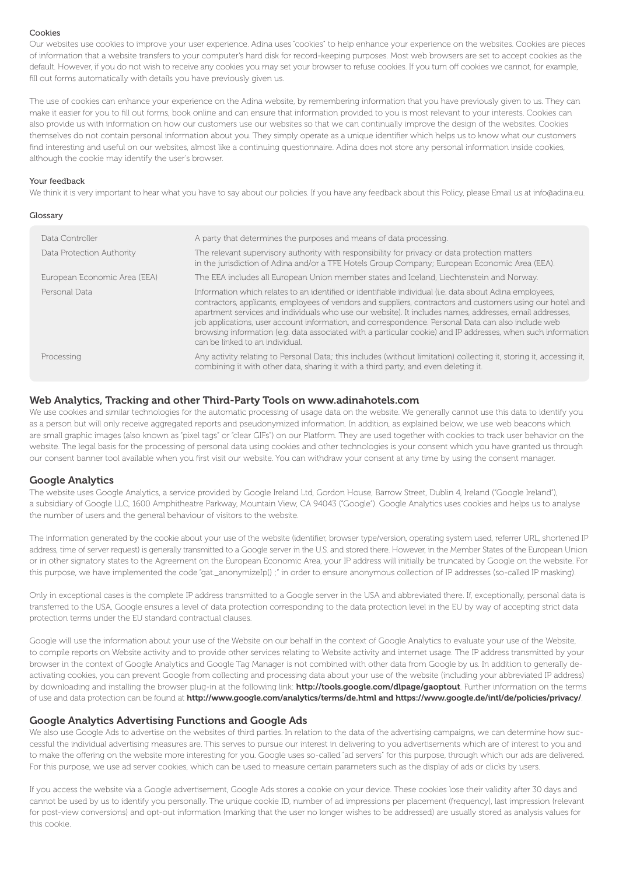#### Cookies

Our websites use cookies to improve your user experience. Adina uses "cookies" to help enhance your experience on the websites. Cookies are pieces of information that a website transfers to your computer's hard disk for record-keeping purposes. Most web browsers are set to accept cookies as the default. However, if you do not wish to receive any cookies you may set your browser to refuse cookies. If you turn off cookies we cannot, for example, fill out forms automatically with details you have previously given us.

The use of cookies can enhance your experience on the Adina website, by remembering information that you have previously given to us. They can make it easier for you to fill out forms, book online and can ensure that information provided to you is most relevant to your interests. Cookies can also provide us with information on how our customers use our websites so that we can continually improve the design of the websites. Cookies themselves do not contain personal information about you. They simply operate as a unique identifier which helps us to know what our customers find interesting and useful on our websites, almost like a continuing questionnaire. Adina does not store any personal information inside cookies, although the cookie may identify the user's browser.

## Your feedback

We think it is very important to hear what you have to say about our policies. If you have any feedback about this Policy, please Email us at info@adina.eu.

| Glossary                     |                                                                                                                                                                                                                                                                                                                                                                                                                                                                                                                                                                                           |
|------------------------------|-------------------------------------------------------------------------------------------------------------------------------------------------------------------------------------------------------------------------------------------------------------------------------------------------------------------------------------------------------------------------------------------------------------------------------------------------------------------------------------------------------------------------------------------------------------------------------------------|
| Data Controller              | A party that determines the purposes and means of data processing.                                                                                                                                                                                                                                                                                                                                                                                                                                                                                                                        |
| Data Protection Authority    | The relevant supervisory authority with responsibility for privacy or data protection matters<br>in the jurisdiction of Adina and/or a TFE Hotels Group Company; European Economic Area (EEA).                                                                                                                                                                                                                                                                                                                                                                                            |
| European Economic Area (EEA) | The EEA includes all European Union member states and Iceland, Liechtenstein and Norway.                                                                                                                                                                                                                                                                                                                                                                                                                                                                                                  |
| Personal Data                | Information which relates to an identified or identifiable individual (i.e. data about Adina employees,<br>contractors, applicants, employees of vendors and suppliers, contractors and customers using our hotel and<br>apartment services and individuals who use our website). It includes names, addresses, email addresses,<br>job applications, user account information, and correspondence. Personal Data can also include web<br>browsing information (e.g. data associated with a particular cookie) and IP addresses, when such information<br>can be linked to an individual. |
| Processing                   | Any activity relating to Personal Data; this includes (without limitation) collecting it, storing it, accessing it,<br>combining it with other data, sharing it with a third party, and even deleting it.                                                                                                                                                                                                                                                                                                                                                                                 |

## Web Analytics, Tracking and other Third-Party Tools on www.adinahotels.com

We use cookies and similar technologies for the automatic processing of usage data on the website. We generally cannot use this data to identify you as a person but will only receive aggregated reports and pseudonymized information. In addition, as explained below, we use web beacons which are small graphic images (also known as "pixel tags" or "clear GIFs") on our Platform. They are used together with cookies to track user behavior on the website. The legal basis for the processing of personal data using cookies and other technologies is your consent which you have granted us through our consent banner tool available when you first visit our website. You can withdraw your consent at any time by using the consent manager.

# Google Analytics

The website uses Google Analytics, a service provided by Google Ireland Ltd, Gordon House, Barrow Street, Dublin 4, Ireland ("Google Ireland"), a subsidiary of Google LLC, 1600 Amphitheatre Parkway, Mountain View, CA 94043 ("Google"). Google Analytics uses cookies and helps us to analyse the number of users and the general behaviour of visitors to the website.

The information generated by the cookie about your use of the website (identifier, browser type/version, operating system used, referrer URL, shortened IP address, time of server request) is generally transmitted to a Google server in the U.S. and stored there. However, in the Member States of the European Union or in other signatory states to the Agreement on the European Economic Area, your IP address will initially be truncated by Google on the website. For this purpose, we have implemented the code "gat.\_anonymizeIp() ;" in order to ensure anonymous collection of IP addresses (so-called IP masking).

Only in exceptional cases is the complete IP address transmitted to a Google server in the USA and abbreviated there. If, exceptionally, personal data is transferred to the USA, Google ensures a level of data protection corresponding to the data protection level in the EU by way of accepting strict data protection terms under the EU standard contractual clauses.

Google will use the information about your use of the Website on our behalf in the context of Google Analytics to evaluate your use of the Website, to compile reports on Website activity and to provide other services relating to Website activity and internet usage. The IP address transmitted by your browser in the context of Google Analytics and Google Tag Manager is not combined with other data from Google by us. In addition to generally deactivating cookies, you can prevent Google from collecting and processing data about your use of the website (including your abbreviated IP address) by downloading and installing the browser plug-in at the following link: http://tools.google.com/dlpage/gaoptout. Further information on the terms of use and data protection can be found at http://www.google.com/analytics/terms/de.html and https://www.google.de/intl/de/policies/privacy/.

# Google Analytics Advertising Functions and Google Ads

We also use Google Ads to advertise on the websites of third parties. In relation to the data of the advertising campaigns, we can determine how successful the individual advertising measures are. This serves to pursue our interest in delivering to you advertisements which are of interest to you and to make the offering on the website more interesting for you. Google uses so-called "ad servers" for this purpose, through which our ads are delivered. For this purpose, we use ad server cookies, which can be used to measure certain parameters such as the display of ads or clicks by users.

If you access the website via a Google advertisement, Google Ads stores a cookie on your device. These cookies lose their validity after 30 days and cannot be used by us to identify you personally. The unique cookie ID, number of ad impressions per placement (frequency), last impression (relevant for post-view conversions) and opt-out information (marking that the user no longer wishes to be addressed) are usually stored as analysis values for this cookie.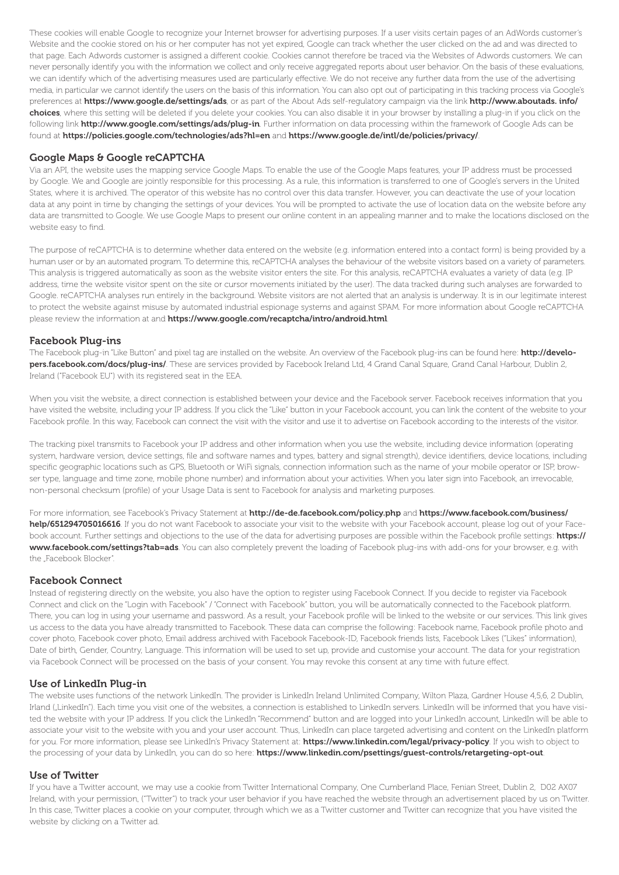These cookies will enable Google to recognize your Internet browser for advertising purposes. If a user visits certain pages of an AdWords customer's Website and the cookie stored on his or her computer has not yet expired, Google can track whether the user clicked on the ad and was directed to that page. Each Adwords customer is assigned a different cookie. Cookies cannot therefore be traced via the Websites of Adwords customers. We can never personally identify you with the information we collect and only receive aggregated reports about user behavior. On the basis of these evaluations, we can identify which of the advertising measures used are particularly effective. We do not receive any further data from the use of the advertising media, in particular we cannot identify the users on the basis of this information. You can also opt out of participating in this tracking process via Google's preferences at https://www.google.de/settings/ads, or as part of the About Ads self-regulatory campaign via the link http://www.aboutads. info/ choices, where this setting will be deleted if you delete your cookies. You can also disable it in your browser by installing a plug-in if you click on the following link http://www.google.com/settings/ads/plug-in. Further information on data processing within the framework of Google Ads can be found at https://policies.google.com/technologies/ads?hl=en and https://www.google.de/intl/de/policies/privacy/.

# Google Maps & Google reCAPTCHA

Via an API, the website uses the mapping service Google Maps. To enable the use of the Google Maps features, your IP address must be processed by Google. We and Google are jointly responsible for this processing. As a rule, this information is transferred to one of Google's servers in the United States, where it is archived. The operator of this website has no control over this data transfer. However, you can deactivate the use of your location data at any point in time by changing the settings of your devices. You will be prompted to activate the use of location data on the website before any data are transmitted to Google. We use Google Maps to present our online content in an appealing manner and to make the locations disclosed on the website easy to find.

The purpose of reCAPTCHA is to determine whether data entered on the website (e.g. information entered into a contact form) is being provided by a human user or by an automated program. To determine this, reCAPTCHA analyses the behaviour of the website visitors based on a variety of parameters. This analysis is triggered automatically as soon as the website visitor enters the site. For this analysis, reCAPTCHA evaluates a variety of data (e.g. IP address, time the website visitor spent on the site or cursor movements initiated by the user). The data tracked during such analyses are forwarded to Google. reCAPTCHA analyses run entirely in the background. Website visitors are not alerted that an analysis is underway. It is in our legitimate interest to protect the website against misuse by automated industrial espionage systems and against SPAM. For more information about Google reCAPTCHA please review the information at and https://www.google.com/recaptcha/intro/android.html.

# Facebook Plug-ins

The Facebook plug-in "Like Button" and pixel tag are installed on the website. An overview of the Facebook plug-ins can be found here: http://developers.facebook.com/docs/plug-ins/. These are services provided by Facebook Ireland Ltd, 4 Grand Canal Square, Grand Canal Harbour, Dublin 2, Ireland ("Facebook EU") with its registered seat in the EEA.

When you visit the website, a direct connection is established between your device and the Facebook server. Facebook receives information that you have visited the website, including your IP address. If you click the "Like" button in your Facebook account, you can link the content of the website to your Facebook profile. In this way, Facebook can connect the visit with the visitor and use it to advertise on Facebook according to the interests of the visitor.

The tracking pixel transmits to Facebook your IP address and other information when you use the website, including device information (operating system, hardware version, device settings, file and software names and types, battery and signal strength), device identifiers, device locations, including specific geographic locations such as GPS. Bluetooth or WiFi signals, connection information such as the name of your mobile operator or ISP, browser type, language and time zone, mobile phone number) and information about your activities. When you later sign into Facebook, an irrevocable, non-personal checksum (profile) of your Usage Data is sent to Facebook for analysis and marketing purposes.

For more information, see Facebook's Privacy Statement at http://de-de.facebook.com/policy.php and https://www.facebook.com/business/ help/651294705016616. If you do not want Facebook to associate your visit to the website with your Facebook account, please log out of your Facebook account. Further settings and objections to the use of the data for advertising purposes are possible within the Facebook profile settings: https:// www.facebook.com/settings?tab=ads. You can also completely prevent the loading of Facebook plug-ins with add-ons for your browser, e.g. with the .Facebook Blocker".

# Facebook Connect

Instead of registering directly on the website, you also have the option to register using Facebook Connect. If you decide to register via Facebook Connect and click on the "Login with Facebook" / "Connect with Facebook" button, you will be automatically connected to the Facebook platform. There, you can log in using your username and password. As a result, your Facebook profile will be linked to the website or our services. This link gives us access to the data you have already transmitted to Facebook. These data can comprise the following: Facebook name, Facebook profile photo and cover photo, Facebook cover photo, Email address archived with Facebook Facebook-ID, Facebook friends lists, Facebook Likes ("Likes" information), Date of birth, Gender, Country, Language. This information will be used to set up, provide and customise your account. The data for your registration via Facebook Connect will be processed on the basis of your consent. You may revoke this consent at any time with future effect.

# Use of LinkedIn Plug-in

The website uses functions of the network LinkedIn. The provider is LinkedIn Ireland Unlimited Company, Wilton Plaza, Gardner House 4,5,6, 2 Dublin, Irland ("LinkedIn"). Each time you visit one of the websites, a connection is established to LinkedIn servers. LinkedIn will be informed that you have visited the website with your IP address. If you click the LinkedIn "Recommend" button and are logged into your LinkedIn account, LinkedIn will be able to associate your visit to the website with you and your user account. Thus, LinkedIn can place targeted advertising and content on the LinkedIn platform for you. For more information, please see LinkedIn's Privacy Statement at: https://www.linkedin.com/legal/privacy-policy. If you wish to object to the processing of your data by LinkedIn, you can do so here: https://www.linkedin.com/psettings/guest-controls/retargeting-opt-out.

# Use of Twitter

If you have a Twitter account, we may use a cookie from Twitter International Company, One Cumberland Place, Fenian Street, Dublin 2, D02 AX07 Ireland, with your permission, ("Twitter") to track your user behavior if you have reached the website through an advertisement placed by us on Twitter. In this case, Twitter places a cookie on your computer, through which we as a Twitter customer and Twitter can recognize that you have visited the website by clicking on a Twitter ad.